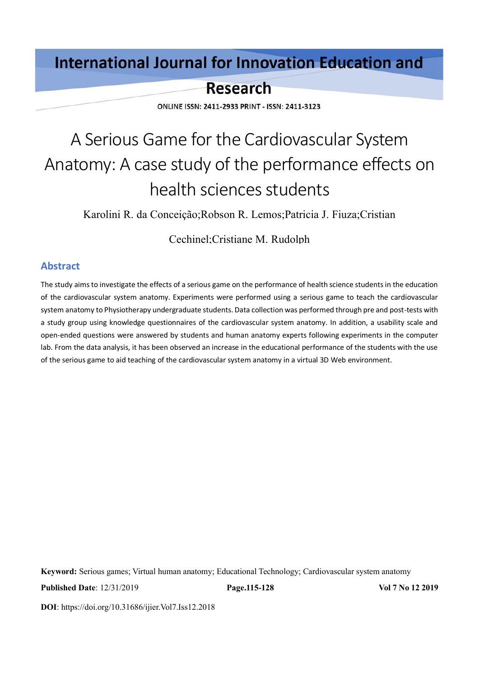# **International Journal for Innovation Education and**

# **Research**

ONLINE ISSN: 2411-2933 PRINT - ISSN: 2411-3123

# A Serious Game for the Cardiovascular System Anatomy: A case study of the performance effects on health sciences students

Karolini R. da Conceição;Robson R. Lemos;Patricia J. Fiuza;Cristian

Cechinel;Cristiane M. Rudolph

# **Abstract**

The study aims to investigate the effects of a serious game on the performance of health science students in the education of the cardiovascular system anatomy. Experiments were performed using a serious game to teach the cardiovascular system anatomy to Physiotherapy undergraduate students. Data collection was performed through pre and post-tests with a study group using knowledge questionnaires of the cardiovascular system anatomy. In addition, a usability scale and open-ended questions were answered by students and human anatomy experts following experiments in the computer lab. From the data analysis, it has been observed an increase in the educational performance of the students with the use of the serious game to aid teaching of the cardiovascular system anatomy in a virtual 3D Web environment.

**Keyword:** Serious games; Virtual human anatomy; Educational Technology; Cardiovascular system anatomy

**Published Date**: 12/31/2019 **Page.115-128 Vol 7 No 12 2019**

**DOI**: https://doi.org/10.31686/ijier.Vol7.Iss12.2018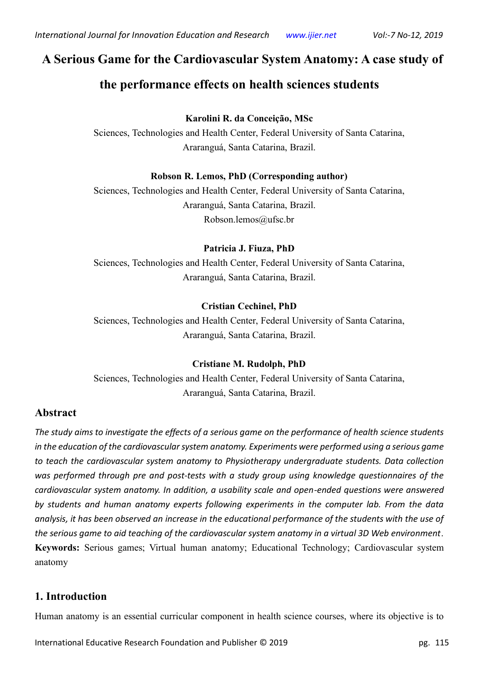# **A Serious Game for the Cardiovascular System Anatomy: A case study of**

# **the performance effects on health sciences students**

# **Karolini R. da Conceição, MSc**

Sciences, Technologies and Health Center, Federal University of Santa Catarina, Araranguá, Santa Catarina, Brazil.

# **Robson R. Lemos, PhD (Corresponding author)**

Sciences, Technologies and Health Center, Federal University of Santa Catarina, Araranguá, Santa Catarina, Brazil. Robson.lemos@ufsc.br

# **Patricia J. Fiuza, PhD**

Sciences, Technologies and Health Center, Federal University of Santa Catarina, Araranguá, Santa Catarina, Brazil.

# **Cristian Cechinel, PhD**

Sciences, Technologies and Health Center, Federal University of Santa Catarina, Araranguá, Santa Catarina, Brazil.

# **Cristiane M. Rudolph, PhD**

Sciences, Technologies and Health Center, Federal University of Santa Catarina, Araranguá, Santa Catarina, Brazil.

# **Abstract**

*The study aims to investigate the effects of a serious game on the performance of health science students in the education of the cardiovascular system anatomy. Experiments were performed using a serious game to teach the cardiovascular system anatomy to Physiotherapy undergraduate students. Data collection was performed through pre and post-tests with a study group using knowledge questionnaires of the cardiovascular system anatomy. In addition, a usability scale and open-ended questions were answered by students and human anatomy experts following experiments in the computer lab. From the data analysis, it has been observed an increase in the educational performance of the students with the use of the serious game to aid teaching of the cardiovascular system anatomy in a virtual 3D Web environment*. **Keywords:** Serious games; Virtual human anatomy; Educational Technology; Cardiovascular system anatomy

# **1. Introduction**

Human anatomy is an essential curricular component in health science courses, where its objective is to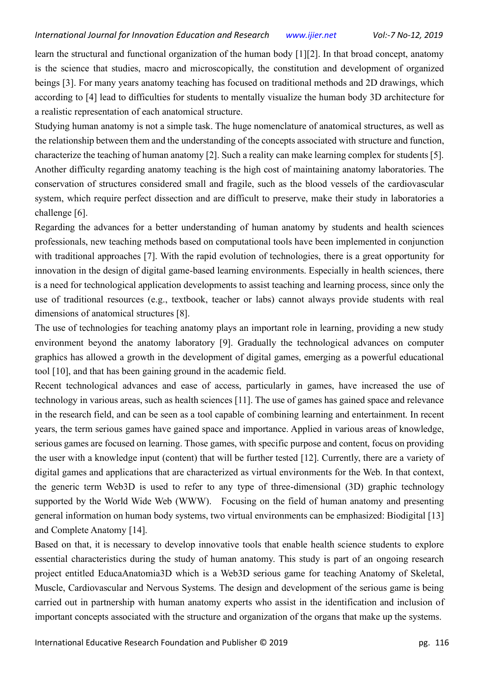learn the structural and functional organization of the human body [1][2]. In that broad concept, anatomy is the science that studies, macro and microscopically, the constitution and development of organized beings [3]. For many years anatomy teaching has focused on traditional methods and 2D drawings, which according to [4] lead to difficulties for students to mentally visualize the human body 3D architecture for a realistic representation of each anatomical structure.

Studying human anatomy is not a simple task. The huge nomenclature of anatomical structures, as well as the relationship between them and the understanding of the concepts associated with structure and function, characterize the teaching of human anatomy [2]. Such a reality can make learning complex for students [5]. Another difficulty regarding anatomy teaching is the high cost of maintaining anatomy laboratories. The conservation of structures considered small and fragile, such as the blood vessels of the cardiovascular system, which require perfect dissection and are difficult to preserve, make their study in laboratories a challenge [6].

Regarding the advances for a better understanding of human anatomy by students and health sciences professionals, new teaching methods based on computational tools have been implemented in conjunction with traditional approaches [7]. With the rapid evolution of technologies, there is a great opportunity for innovation in the design of digital game-based learning environments. Especially in health sciences, there is a need for technological application developments to assist teaching and learning process, since only the use of traditional resources (e.g., textbook, teacher or labs) cannot always provide students with real dimensions of anatomical structures [8].

The use of technologies for teaching anatomy plays an important role in learning, providing a new study environment beyond the anatomy laboratory [9]. Gradually the technological advances on computer graphics has allowed a growth in the development of digital games, emerging as a powerful educational tool [10], and that has been gaining ground in the academic field.

Recent technological advances and ease of access, particularly in games, have increased the use of technology in various areas, such as health sciences [11]. The use of games has gained space and relevance in the research field, and can be seen as a tool capable of combining learning and entertainment. In recent years, the term serious games have gained space and importance. Applied in various areas of knowledge, serious games are focused on learning. Those games, with specific purpose and content, focus on providing the user with a knowledge input (content) that will be further tested [12]. Currently, there are a variety of digital games and applications that are characterized as virtual environments for the Web. In that context, the generic term Web3D is used to refer to any type of three-dimensional (3D) graphic technology supported by the World Wide Web (WWW). Focusing on the field of human anatomy and presenting general information on human body systems, two virtual environments can be emphasized: Biodigital [13] and Complete Anatomy [14].

Based on that, it is necessary to develop innovative tools that enable health science students to explore essential characteristics during the study of human anatomy. This study is part of an ongoing research project entitled EducaAnatomia3D which is a Web3D serious game for teaching Anatomy of Skeletal, Muscle, Cardiovascular and Nervous Systems. The design and development of the serious game is being carried out in partnership with human anatomy experts who assist in the identification and inclusion of important concepts associated with the structure and organization of the organs that make up the systems.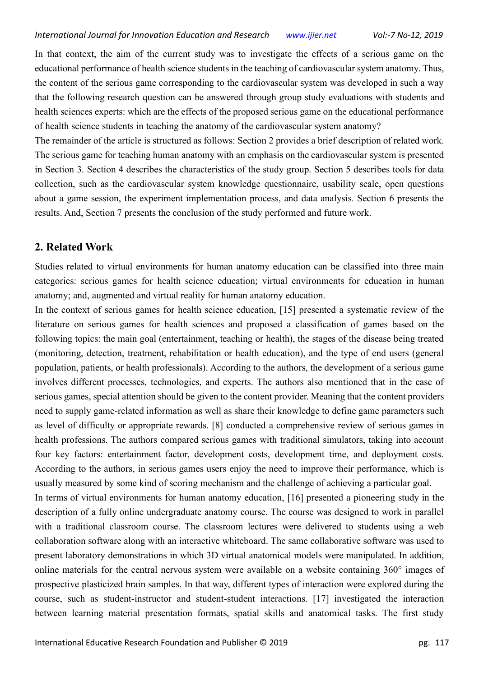In that context, the aim of the current study was to investigate the effects of a serious game on the educational performance of health science students in the teaching of cardiovascular system anatomy. Thus, the content of the serious game corresponding to the cardiovascular system was developed in such a way that the following research question can be answered through group study evaluations with students and health sciences experts: which are the effects of the proposed serious game on the educational performance of health science students in teaching the anatomy of the cardiovascular system anatomy?

The remainder of the article is structured as follows: Section 2 provides a brief description of related work. The serious game for teaching human anatomy with an emphasis on the cardiovascular system is presented in Section 3. Section 4 describes the characteristics of the study group. Section 5 describes tools for data collection, such as the cardiovascular system knowledge questionnaire, usability scale, open questions about a game session, the experiment implementation process, and data analysis. Section 6 presents the results. And, Section 7 presents the conclusion of the study performed and future work.

# **2. Related Work**

Studies related to virtual environments for human anatomy education can be classified into three main categories: serious games for health science education; virtual environments for education in human anatomy; and, augmented and virtual reality for human anatomy education.

In the context of serious games for health science education, [15] presented a systematic review of the literature on serious games for health sciences and proposed a classification of games based on the following topics: the main goal (entertainment, teaching or health), the stages of the disease being treated (monitoring, detection, treatment, rehabilitation or health education), and the type of end users (general population, patients, or health professionals). According to the authors, the development of a serious game involves different processes, technologies, and experts. The authors also mentioned that in the case of serious games, special attention should be given to the content provider. Meaning that the content providers need to supply game-related information as well as share their knowledge to define game parameters such as level of difficulty or appropriate rewards. [8] conducted a comprehensive review of serious games in health professions. The authors compared serious games with traditional simulators, taking into account four key factors: entertainment factor, development costs, development time, and deployment costs. According to the authors, in serious games users enjoy the need to improve their performance, which is usually measured by some kind of scoring mechanism and the challenge of achieving a particular goal.

In terms of virtual environments for human anatomy education, [16] presented a pioneering study in the description of a fully online undergraduate anatomy course. The course was designed to work in parallel with a traditional classroom course. The classroom lectures were delivered to students using a web collaboration software along with an interactive whiteboard. The same collaborative software was used to present laboratory demonstrations in which 3D virtual anatomical models were manipulated. In addition, online materials for the central nervous system were available on a website containing 360° images of prospective plasticized brain samples. In that way, different types of interaction were explored during the course, such as student-instructor and student-student interactions. [17] investigated the interaction between learning material presentation formats, spatial skills and anatomical tasks. The first study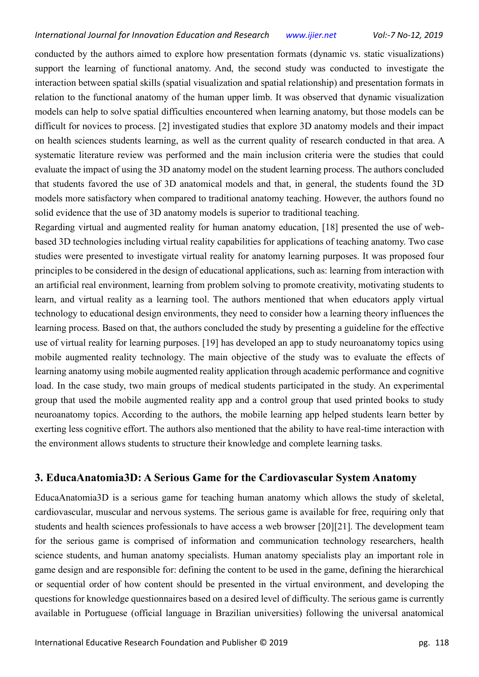conducted by the authors aimed to explore how presentation formats (dynamic vs. static visualizations) support the learning of functional anatomy. And, the second study was conducted to investigate the interaction between spatial skills (spatial visualization and spatial relationship) and presentation formats in relation to the functional anatomy of the human upper limb. It was observed that dynamic visualization models can help to solve spatial difficulties encountered when learning anatomy, but those models can be difficult for novices to process. [2] investigated studies that explore 3D anatomy models and their impact on health sciences students learning, as well as the current quality of research conducted in that area. A systematic literature review was performed and the main inclusion criteria were the studies that could evaluate the impact of using the 3D anatomy model on the student learning process. The authors concluded that students favored the use of 3D anatomical models and that, in general, the students found the 3D models more satisfactory when compared to traditional anatomy teaching. However, the authors found no solid evidence that the use of 3D anatomy models is superior to traditional teaching.

Regarding virtual and augmented reality for human anatomy education, [18] presented the use of webbased 3D technologies including virtual reality capabilities for applications of teaching anatomy. Two case studies were presented to investigate virtual reality for anatomy learning purposes. It was proposed four principles to be considered in the design of educational applications, such as: learning from interaction with an artificial real environment, learning from problem solving to promote creativity, motivating students to learn, and virtual reality as a learning tool. The authors mentioned that when educators apply virtual technology to educational design environments, they need to consider how a learning theory influences the learning process. Based on that, the authors concluded the study by presenting a guideline for the effective use of virtual reality for learning purposes. [19] has developed an app to study neuroanatomy topics using mobile augmented reality technology. The main objective of the study was to evaluate the effects of learning anatomy using mobile augmented reality application through academic performance and cognitive load. In the case study, two main groups of medical students participated in the study. An experimental group that used the mobile augmented reality app and a control group that used printed books to study neuroanatomy topics. According to the authors, the mobile learning app helped students learn better by exerting less cognitive effort. The authors also mentioned that the ability to have real-time interaction with the environment allows students to structure their knowledge and complete learning tasks.

# **3. EducaAnatomia3D: A Serious Game for the Cardiovascular System Anatomy**

EducaAnatomia3D is a serious game for teaching human anatomy which allows the study of skeletal, cardiovascular, muscular and nervous systems. The serious game is available for free, requiring only that students and health sciences professionals to have access a web browser [20][21]. The development team for the serious game is comprised of information and communication technology researchers, health science students, and human anatomy specialists. Human anatomy specialists play an important role in game design and are responsible for: defining the content to be used in the game, defining the hierarchical or sequential order of how content should be presented in the virtual environment, and developing the questions for knowledge questionnaires based on a desired level of difficulty. The serious game is currently available in Portuguese (official language in Brazilian universities) following the universal anatomical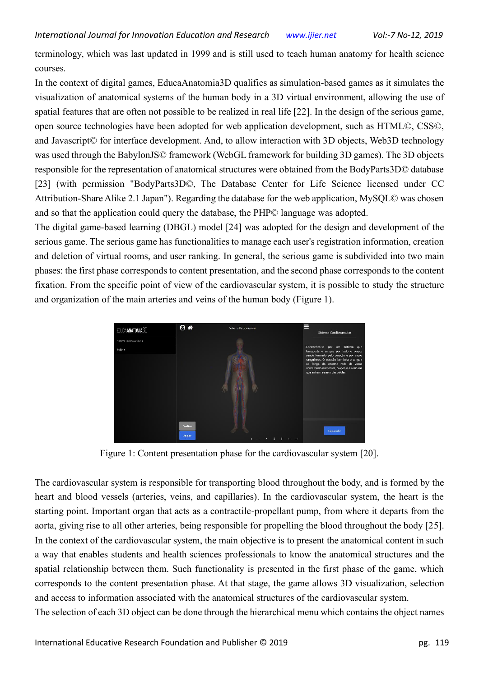terminology, which was last updated in 1999 and is still used to teach human anatomy for health science courses.

In the context of digital games, EducaAnatomia3D qualifies as simulation-based games as it simulates the visualization of anatomical systems of the human body in a 3D virtual environment, allowing the use of spatial features that are often not possible to be realized in real life [22]. In the design of the serious game, open source technologies have been adopted for web application development, such as HTML©, CSS©, and Javascript© for interface development. And, to allow interaction with 3D objects, Web3D technology was used through the BabylonJS© framework (WebGL framework for building 3D games). The 3D objects responsible for the representation of anatomical structures were obtained from the BodyParts3D© database [23] (with permission "BodyParts3D©, The Database Center for Life Science licensed under CC Attribution-Share Alike 2.1 Japan"). Regarding the database for the web application, MySQL© was chosen and so that the application could query the database, the PHP© language was adopted.

The digital game-based learning (DBGL) model [24] was adopted for the design and development of the serious game. The serious game has functionalities to manage each user's registration information, creation and deletion of virtual rooms, and user ranking. In general, the serious game is subdivided into two main phases: the first phase corresponds to content presentation, and the second phase corresponds to the content fixation. From the specific point of view of the cardiovascular system, it is possible to study the structure and organization of the main arteries and veins of the human body (Figure 1).



Figure 1: Content presentation phase for the cardiovascular system [20].

The cardiovascular system is responsible for transporting blood throughout the body, and is formed by the heart and blood vessels (arteries, veins, and capillaries). In the cardiovascular system, the heart is the starting point. Important organ that acts as a contractile-propellant pump, from where it departs from the aorta, giving rise to all other arteries, being responsible for propelling the blood throughout the body [25]. In the context of the cardiovascular system, the main objective is to present the anatomical content in such a way that enables students and health sciences professionals to know the anatomical structures and the spatial relationship between them. Such functionality is presented in the first phase of the game, which corresponds to the content presentation phase. At that stage, the game allows 3D visualization, selection and access to information associated with the anatomical structures of the cardiovascular system.

The selection of each 3D object can be done through the hierarchical menu which contains the object names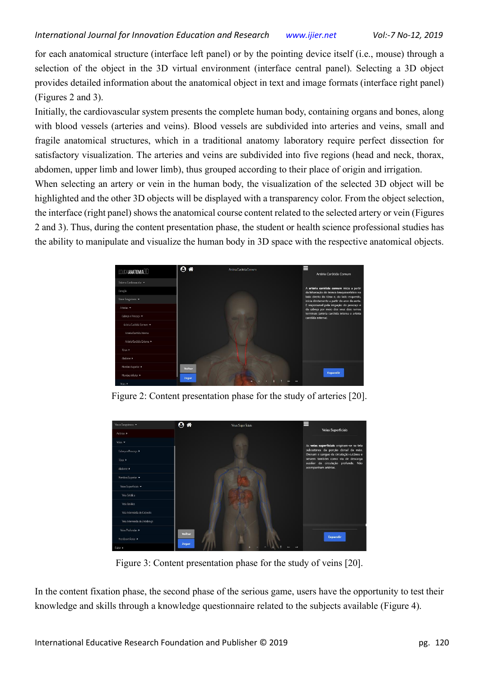for each anatomical structure (interface left panel) or by the pointing device itself (i.e., mouse) through a selection of the object in the 3D virtual environment (interface central panel). Selecting a 3D object provides detailed information about the anatomical object in text and image formats (interface right panel) (Figures 2 and 3).

Initially, the cardiovascular system presents the complete human body, containing organs and bones, along with blood vessels (arteries and veins). Blood vessels are subdivided into arteries and veins, small and fragile anatomical structures, which in a traditional anatomy laboratory require perfect dissection for satisfactory visualization. The arteries and veins are subdivided into five regions (head and neck, thorax, abdomen, upper limb and lower limb), thus grouped according to their place of origin and irrigation.

When selecting an artery or vein in the human body, the visualization of the selected 3D object will be highlighted and the other 3D objects will be displayed with a transparency color. From the object selection, the interface (right panel) shows the anatomical course content related to the selected artery or vein (Figures 2 and 3). Thus, during the content presentation phase, the student or health science professional studies has the ability to manipulate and visualize the human body in 3D space with the respective anatomical objects.



Figure 2: Content presentation phase for the study of arteries [20].



Figure 3: Content presentation phase for the study of veins [20].

In the content fixation phase, the second phase of the serious game, users have the opportunity to test their knowledge and skills through a knowledge questionnaire related to the subjects available (Figure 4).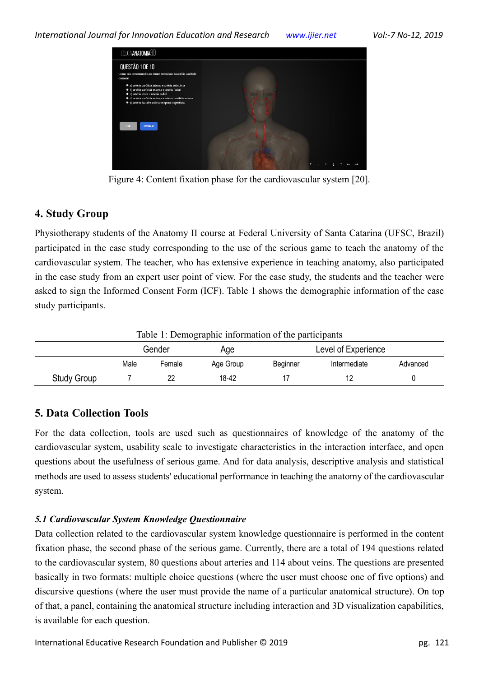

Figure 4: Content fixation phase for the cardiovascular system [20].

# **4. Study Group**

Physiotherapy students of the Anatomy II course at Federal University of Santa Catarina (UFSC, Brazil) participated in the case study corresponding to the use of the serious game to teach the anatomy of the cardiovascular system. The teacher, who has extensive experience in teaching anatomy, also participated in the case study from an expert user point of view. For the case study, the students and the teacher were asked to sign the Informed Consent Form (ICF). Table 1 shows the demographic information of the case study participants.

| Table 1: Demographic information of the participants |        |        |           |                     |              |          |  |  |  |
|------------------------------------------------------|--------|--------|-----------|---------------------|--------------|----------|--|--|--|
|                                                      | Gender |        | Aqe       | Level of Experience |              |          |  |  |  |
|                                                      | Male   | Female | Age Group | Beainner            | Intermediate | Advanced |  |  |  |
| Study Group                                          |        |        | 18-42     |                     |              |          |  |  |  |

# **5. Data Collection Tools**

For the data collection, tools are used such as questionnaires of knowledge of the anatomy of the cardiovascular system, usability scale to investigate characteristics in the interaction interface, and open questions about the usefulness of serious game. And for data analysis, descriptive analysis and statistical methods are used to assess students' educational performance in teaching the anatomy of the cardiovascular system.

# *5.1 Cardiovascular System Knowledge Questionnaire*

Data collection related to the cardiovascular system knowledge questionnaire is performed in the content fixation phase, the second phase of the serious game. Currently, there are a total of 194 questions related to the cardiovascular system, 80 questions about arteries and 114 about veins. The questions are presented basically in two formats: multiple choice questions (where the user must choose one of five options) and discursive questions (where the user must provide the name of a particular anatomical structure). On top of that, a panel, containing the anatomical structure including interaction and 3D visualization capabilities, is available for each question.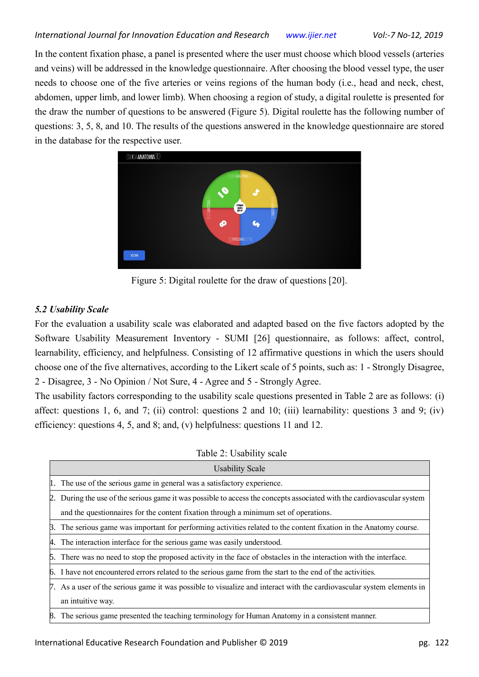In the content fixation phase, a panel is presented where the user must choose which blood vessels (arteries and veins) will be addressed in the knowledge questionnaire. After choosing the blood vessel type, the user needs to choose one of the five arteries or veins regions of the human body (i.e., head and neck, chest, abdomen, upper limb, and lower limb). When choosing a region of study, a digital roulette is presented for the draw the number of questions to be answered (Figure 5). Digital roulette has the following number of questions: 3, 5, 8, and 10. The results of the questions answered in the knowledge questionnaire are stored in the database for the respective user.



Figure 5: Digital roulette for the draw of questions [20].

# *5.2 Usability Scale*

For the evaluation a usability scale was elaborated and adapted based on the five factors adopted by the Software Usability Measurement Inventory - SUMI [26] questionnaire, as follows: affect, control, learnability, efficiency, and helpfulness. Consisting of 12 affirmative questions in which the users should choose one of the five alternatives, according to the Likert scale of 5 points, such as: 1 - Strongly Disagree, 2 - Disagree, 3 - No Opinion / Not Sure, 4 - Agree and 5 - Strongly Agree.

The usability factors corresponding to the usability scale questions presented in Table 2 are as follows: (i) affect: questions 1, 6, and 7; (ii) control: questions 2 and 10; (iii) learnability: questions 3 and 9; (iv) efficiency: questions 4, 5, and 8; and, (v) helpfulness: questions 11 and 12.

Table 2: Usability scale

| <b>Usability Scale</b>                                                                                                 |
|------------------------------------------------------------------------------------------------------------------------|
| 1. The use of the serious game in general was a satisfactory experience.                                               |
| 2. During the use of the serious game it was possible to access the concepts associated with the cardiovascular system |
| and the questionnaires for the content fixation through a minimum set of operations.                                   |
| B. The serious game was important for performing activities related to the content fixation in the Anatomy course.     |
| 4. The interaction interface for the serious game was easily understood.                                               |
| 5. There was no need to stop the proposed activity in the face of obstacles in the interaction with the interface.     |
| 6. I have not encountered errors related to the serious game from the start to the end of the activities.              |
| 7. As a user of the serious game it was possible to visualize and interact with the cardiovascular system elements in  |
| an intuitive way.                                                                                                      |
| 8. The serious game presented the teaching terminology for Human Anatomy in a consistent manner.                       |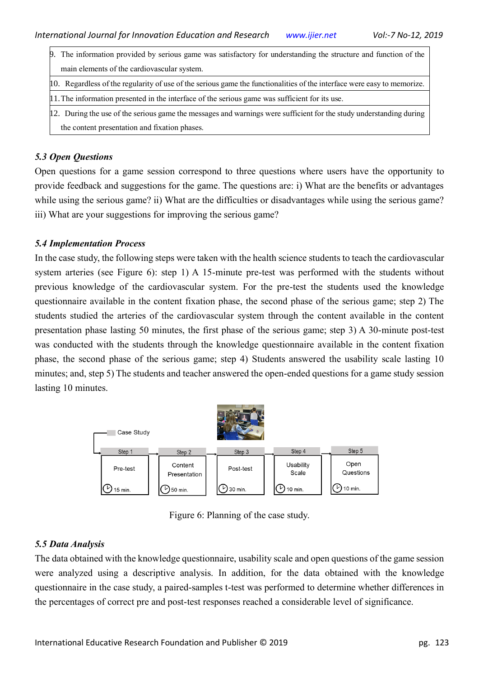- 9. The information provided by serious game was satisfactory for understanding the structure and function of the main elements of the cardiovascular system.
- 10. Regardless of the regularity of use of the serious game the functionalities of the interface were easy to memorize.
- 11.The information presented in the interface of the serious game was sufficient for its use.
- 12. During the use of the serious game the messages and warnings were sufficient for the study understanding during the content presentation and fixation phases.

# *5.3 Open Questions*

Open questions for a game session correspond to three questions where users have the opportunity to provide feedback and suggestions for the game. The questions are: i) What are the benefits or advantages while using the serious game? ii) What are the difficulties or disadvantages while using the serious game? iii) What are your suggestions for improving the serious game?

# *5.4 Implementation Process*

In the case study, the following steps were taken with the health science students to teach the cardiovascular system arteries (see Figure 6): step 1) A 15-minute pre-test was performed with the students without previous knowledge of the cardiovascular system. For the pre-test the students used the knowledge questionnaire available in the content fixation phase, the second phase of the serious game; step 2) The students studied the arteries of the cardiovascular system through the content available in the content presentation phase lasting 50 minutes, the first phase of the serious game; step 3) A 30-minute post-test was conducted with the students through the knowledge questionnaire available in the content fixation phase, the second phase of the serious game; step 4) Students answered the usability scale lasting 10 minutes; and, step 5) The students and teacher answered the open-ended questions for a game study session lasting 10 minutes.



Figure 6: Planning of the case study.

# *5.5 Data Analysis*

The data obtained with the knowledge questionnaire, usability scale and open questions of the game session were analyzed using a descriptive analysis. In addition, for the data obtained with the knowledge questionnaire in the case study, a paired-samples t-test was performed to determine whether differences in the percentages of correct pre and post-test responses reached a considerable level of significance.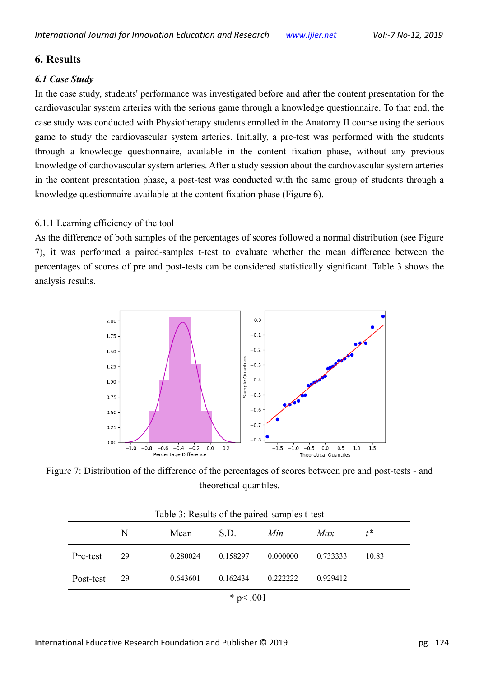# **6. Results**

# *6.1 Case Study*

In the case study, students' performance was investigated before and after the content presentation for the cardiovascular system arteries with the serious game through a knowledge questionnaire. To that end, the case study was conducted with Physiotherapy students enrolled in the Anatomy II course using the serious game to study the cardiovascular system arteries. Initially, a pre-test was performed with the students through a knowledge questionnaire, available in the content fixation phase, without any previous knowledge of cardiovascular system arteries. After a study session about the cardiovascular system arteries in the content presentation phase, a post-test was conducted with the same group of students through a knowledge questionnaire available at the content fixation phase (Figure 6).

#### 6.1.1 Learning efficiency of the tool

As the difference of both samples of the percentages of scores followed a normal distribution (see Figure 7), it was performed a paired-samples t-test to evaluate whether the mean difference between the percentages of scores of pre and post-tests can be considered statistically significant. Table 3 shows the analysis results.



Figure 7: Distribution of the difference of the percentages of scores between pre and post-tests - and theoretical quantiles.

| Table 3: Results of the paired-samples t-test |    |          |          |          |          |       |  |  |  |
|-----------------------------------------------|----|----------|----------|----------|----------|-------|--|--|--|
|                                               | N  | Mean     | S.D.     | Min      | Max      | $t^*$ |  |  |  |
| Pre-test                                      | 29 | 0.280024 | 0.158297 | 0.000000 | 0.733333 | 10.83 |  |  |  |
| Post-test                                     | 29 | 0.643601 | 0.162434 | 0.222222 | 0.929412 |       |  |  |  |
| * $p<.001$                                    |    |          |          |          |          |       |  |  |  |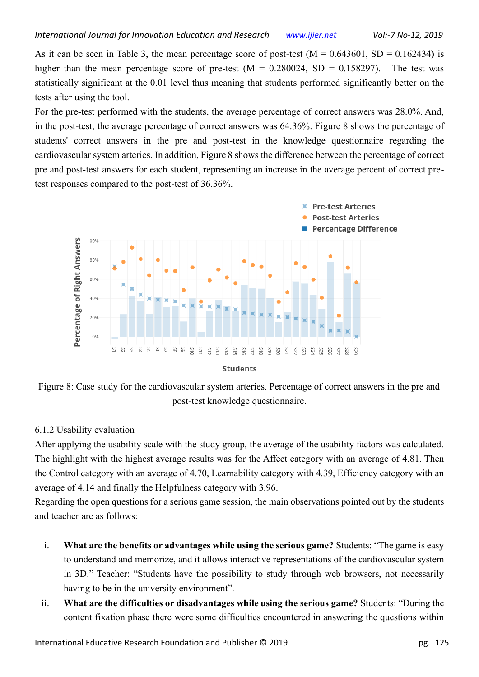As it can be seen in Table 3, the mean percentage score of post-test  $(M = 0.643601, SD = 0.162434)$  is higher than the mean percentage score of pre-test ( $M = 0.280024$ , SD = 0.158297). The test was statistically significant at the 0.01 level thus meaning that students performed significantly better on the tests after using the tool.

For the pre-test performed with the students, the average percentage of correct answers was 28.0%. And, in the post-test, the average percentage of correct answers was 64.36%. Figure 8 shows the percentage of students' correct answers in the pre and post-test in the knowledge questionnaire regarding the cardiovascular system arteries. In addition, Figure 8 shows the difference between the percentage of correct pre and post-test answers for each student, representing an increase in the average percent of correct pretest responses compared to the post-test of 36.36%.





Figure 8: Case study for the cardiovascular system arteries. Percentage of correct answers in the pre and post-test knowledge questionnaire.

# 6.1.2 Usability evaluation

After applying the usability scale with the study group, the average of the usability factors was calculated. The highlight with the highest average results was for the Affect category with an average of 4.81. Then the Control category with an average of 4.70, Learnability category with 4.39, Efficiency category with an average of 4.14 and finally the Helpfulness category with 3.96.

Regarding the open questions for a serious game session, the main observations pointed out by the students and teacher are as follows:

- i. **What are the benefits or advantages while using the serious game?** Students: "The game is easy to understand and memorize, and it allows interactive representations of the cardiovascular system in 3D." Teacher: "Students have the possibility to study through web browsers, not necessarily having to be in the university environment".
- ii. **What are the difficulties or disadvantages while using the serious game?** Students: "During the content fixation phase there were some difficulties encountered in answering the questions within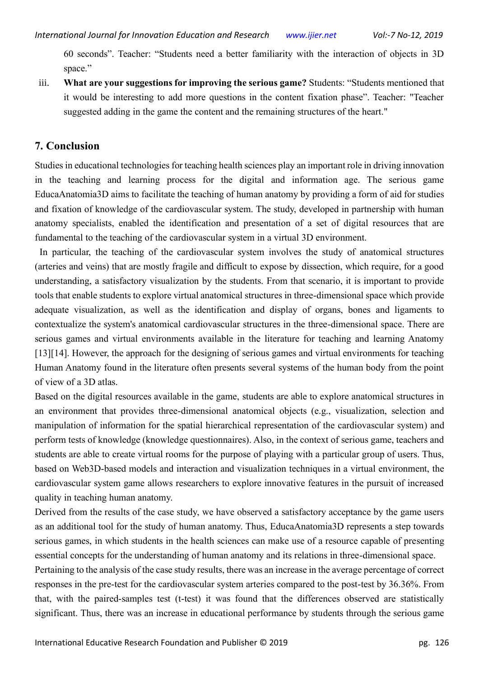60 seconds". Teacher: "Students need a better familiarity with the interaction of objects in 3D space."

iii. **What are your suggestions for improving the serious game?** Students: "Students mentioned that it would be interesting to add more questions in the content fixation phase". Teacher: "Teacher suggested adding in the game the content and the remaining structures of the heart."

# **7. Conclusion**

Studies in educational technologies for teaching health sciences play an important role in driving innovation in the teaching and learning process for the digital and information age. The serious game EducaAnatomia3D aims to facilitate the teaching of human anatomy by providing a form of aid for studies and fixation of knowledge of the cardiovascular system. The study, developed in partnership with human anatomy specialists, enabled the identification and presentation of a set of digital resources that are fundamental to the teaching of the cardiovascular system in a virtual 3D environment.

In particular, the teaching of the cardiovascular system involves the study of anatomical structures (arteries and veins) that are mostly fragile and difficult to expose by dissection, which require, for a good understanding, a satisfactory visualization by the students. From that scenario, it is important to provide tools that enable students to explore virtual anatomical structures in three-dimensional space which provide adequate visualization, as well as the identification and display of organs, bones and ligaments to contextualize the system's anatomical cardiovascular structures in the three-dimensional space. There are serious games and virtual environments available in the literature for teaching and learning Anatomy [13][14]. However, the approach for the designing of serious games and virtual environments for teaching Human Anatomy found in the literature often presents several systems of the human body from the point of view of a 3D atlas.

Based on the digital resources available in the game, students are able to explore anatomical structures in an environment that provides three-dimensional anatomical objects (e.g., visualization, selection and manipulation of information for the spatial hierarchical representation of the cardiovascular system) and perform tests of knowledge (knowledge questionnaires). Also, in the context of serious game, teachers and students are able to create virtual rooms for the purpose of playing with a particular group of users. Thus, based on Web3D-based models and interaction and visualization techniques in a virtual environment, the cardiovascular system game allows researchers to explore innovative features in the pursuit of increased quality in teaching human anatomy.

Derived from the results of the case study, we have observed a satisfactory acceptance by the game users as an additional tool for the study of human anatomy. Thus, EducaAnatomia3D represents a step towards serious games, in which students in the health sciences can make use of a resource capable of presenting essential concepts for the understanding of human anatomy and its relations in three-dimensional space.

Pertaining to the analysis of the case study results, there was an increase in the average percentage of correct responses in the pre-test for the cardiovascular system arteries compared to the post-test by 36.36%. From that, with the paired-samples test (t-test) it was found that the differences observed are statistically significant. Thus, there was an increase in educational performance by students through the serious game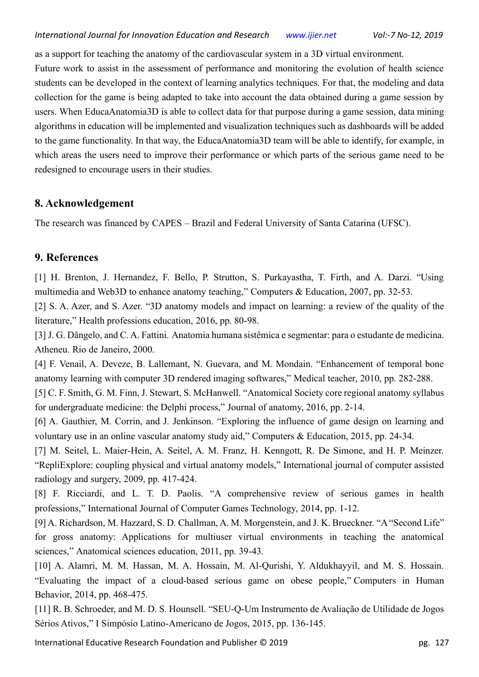as a support for teaching the anatomy of the cardiovascular system in a 3D virtual environment.

Future work to assist in the assessment of performance and monitoring the evolution of health science students can be developed in the context of learning analytics techniques. For that, the modeling and data collection for the game is being adapted to take into account the data obtained during a game session by users. When EducaAnatomia3D is able to collect data for that purpose during a game session, data mining algorithms in education will be implemented and visualization techniques such as dashboards will be added to the game functionality. In that way, the EducaAnatomia3D team will be able to identify, for example, in which areas the users need to improve their performance or which parts of the serious game need to be redesigned to encourage users in their studies.

# **8. Acknowledgement**

The research was financed by CAPES – Brazil and Federal University of Santa Catarina (UFSC).

# **9. References**

[1] H. Brenton, J. Hernandez, F. Bello, P. Strutton, S. Purkayastha, T. Firth, and A. Darzi. "Using multimedia and Web3D to enhance anatomy teaching," Computers & Education, 2007, pp. 32-53.

[2] S. A. Azer, and S. Azer. "3D anatomy models and impact on learning: a review of the quality of the literature," Health professions education, 2016, pp. 80-98.

[3] J. G. Dângelo, and C. A. Fattini. Anatomia humana sistêmica e segmentar: para o estudante de medicina. Atheneu. Rio de Janeiro, 2000.

[4] F. Venail, A. Deveze, B. Lallemant, N. Guevara, and M. Mondain. "Enhancement of temporal bone anatomy learning with computer 3D rendered imaging softwares," Medical teacher, 2010, pp. 282-288.

[5] C. F. Smith, G. M. Finn, J. Stewart, S. McHanwell. "Anatomical Society core regional anatomy syllabus for undergraduate medicine: the Delphi process," Journal of anatomy, 2016, pp. 2-14.

[6] A. Gauthier, M. Corrin, and J. Jenkinson. "Exploring the influence of game design on learning and voluntary use in an online vascular anatomy study aid," Computers & Education, 2015, pp. 24-34.

[7] M. Seitel, L. Maier-Hein, A. Seitel, A. M. Franz, H. Kenngott, R. De Simone, and H. P. Meinzer. "RepliExplore: coupling physical and virtual anatomy models," International journal of computer assisted radiology and surgery, 2009, pp. 417-424.

[8] F. Ricciardi, and L. T. D. Paolis. "A comprehensive review of serious games in health professions," International Journal of Computer Games Technology, 2014, pp. 1-12.

[9] A. Richardson, M. Hazzard, S. D. Challman, A. M. Morgenstein, and J. K. Brueckner. "A "Second Life" for gross anatomy: Applications for multiuser virtual environments in teaching the anatomical sciences," Anatomical sciences education, 2011, pp. 39-43.

[10] A. Alamri, M. M. Hassan, M. A. Hossain, M. Al-Qurishi, Y. Aldukhayyil, and M. S. Hossain. "Evaluating the impact of a cloud-based serious game on obese people," Computers in Human Behavior, 2014, pp. 468-475.

[11] R. B. Schroeder, and M. D. S. Hounsell. "SEU-Q-Um Instrumento de Avaliação de Utilidade de Jogos Sérios Ativos," I Simpósio Latino-Americano de Jogos, 2015, pp. 136-145.